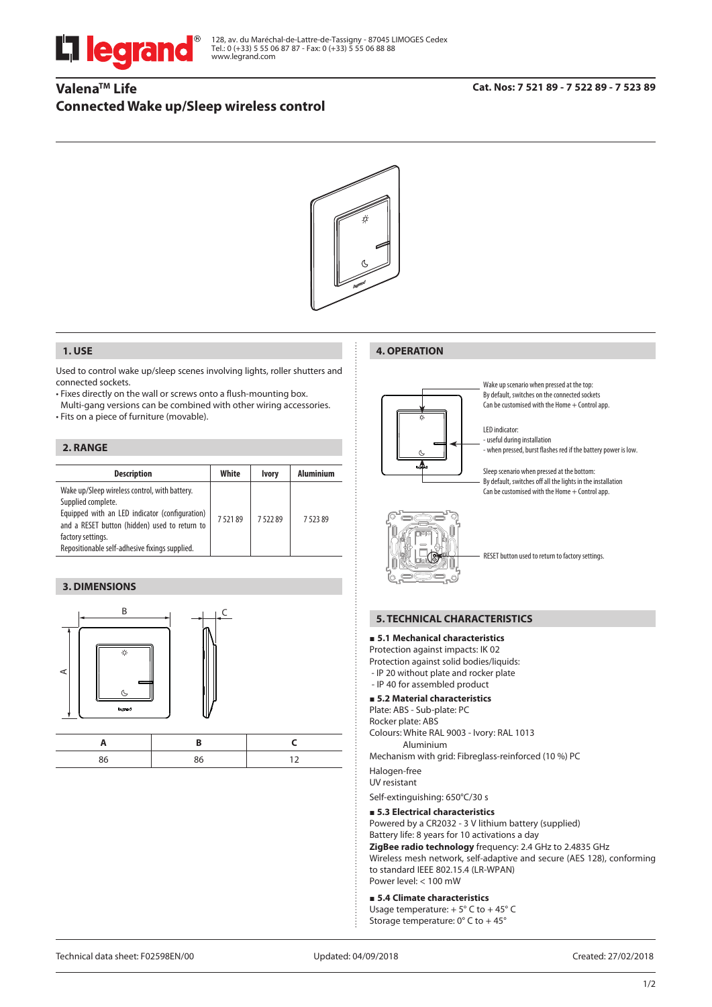

# **ValenaTM Life Connected Wake up/Sleep wireless control**



# **1. USE**

Used to control wake up/sleep scenes involving lights, roller shutters and connected sockets.

- Fixes directly on the wall or screws onto a flush-mounting box.
- Multi-gang versions can be combined with other wiring accessories. • Fits on a piece of furniture (movable).

### **2. RANGE**

| <b>Description</b>                                                                                                                                                                                                                            | White  | <b>Ivory</b> | <b>Aluminium</b> |
|-----------------------------------------------------------------------------------------------------------------------------------------------------------------------------------------------------------------------------------------------|--------|--------------|------------------|
| Wake up/Sleep wireless control, with battery.<br>Supplied complete.<br>Equipped with an LED indicator (configuration)<br>and a RESET button (hidden) used to return to<br>factory settings.<br>Repositionable self-adhesive fixings supplied. | 752189 | 752289       | 752389           |

# **3. DIMENSIONS**





**4. OPERATION**

Wake up scenario when pressed at the top: By default, switches on the connected sockets Can be customised with the Home  $+$  Control app.

LED indicator: - useful during installation

- when pressed, burst flashes red if the battery power is low.

Sleep scenario when pressed at the bottom: By default, switches off all the lights in the installation Can be customised with the Home + Control app.



RESET button used to return to factory settings.

#### **5. TECHNICAL CHARACTERISTICS**

#### **5.1 Mechanical characteristics**

Protection against impacts: IK 02 Protection against solid bodies/liquids:

- IP 20 without plate and rocker plate
- IP 40 for assembled product

### **5.2 Material characteristics**

Plate: ABS - Sub-plate: PC

Rocker plate: ABS

Colours: White RAL 9003 - Ivory: RAL 1013 Aluminium

Mechanism with grid: Fibreglass-reinforced (10 %) PC

Halogen-free

UV resistant

Self-extinguishing: 650°C/30 s

#### **5.3 Electrical characteristics**

Powered by a CR2032 - 3 V lithium battery (supplied) Battery life: 8 years for 10 activations a day

**ZigBee radio technology** frequency: 2.4 GHz to 2.4835 GHz Wireless mesh network, self-adaptive and secure (AES 128), conforming to standard IEEE 802.15.4 (LR-WPAN) Power level: < 100 mW

### **5.4 Climate characteristics**

Usage temperature: + 5° C to + 45° C Storage temperature: 0° C to + 45°